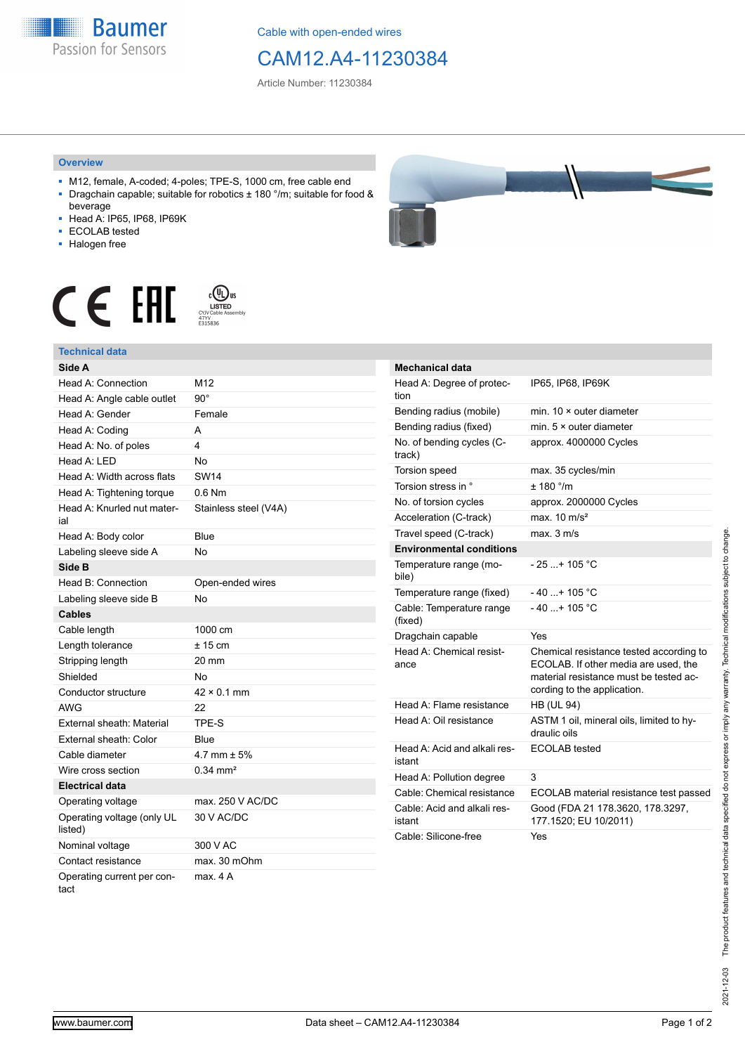**Baumer** Passion for Sensors

Cable with open-ended wires

## CAM12.A4-11230384

Article Number: 11230384

## **Overview**

- M12, female, A-coded; 4-poles; TPE-S, 1000 cm, free cable end ■ Dragchain capable; suitable for robotics ± 180 °/m; suitable for food &
- beverage ■ Head A: IP65, IP68, IP69K
- ECOLAB tested
- 
- Halogen free

## $c$  (U<sub>L</sub>) us<br>
CYJV Cable Assem CE EHI





| Mechanical data                        |                                                                                                                                                          |
|----------------------------------------|----------------------------------------------------------------------------------------------------------------------------------------------------------|
| Head A: Degree of protec-<br>tion      | IP65, IP68, IP69K                                                                                                                                        |
| Bending radius (mobile)                | min. $10 \times$ outer diameter                                                                                                                          |
| Bending radius (fixed)                 | min. $5 \times$ outer diameter                                                                                                                           |
| No. of bending cycles (C-<br>track)    | approx. 4000000 Cycles                                                                                                                                   |
| Torsion speed                          | max. 35 cycles/min                                                                                                                                       |
| Torsion stress in °                    | ± 180 °/m                                                                                                                                                |
| No. of torsion cycles                  | approx. 2000000 Cycles                                                                                                                                   |
| Acceleration (C-track)                 | max $10 \text{ m/s}^2$                                                                                                                                   |
| Travel speed (C-track)                 | max. 3 m/s                                                                                                                                               |
| <b>Environmental conditions</b>        |                                                                                                                                                          |
| Temperature range (mo-<br>bile)        | - 25 + 105 °C                                                                                                                                            |
| Temperature range (fixed)              | $-40+105 °C$                                                                                                                                             |
| Cable: Temperature range<br>(fixed)    | $-40+105$ °C                                                                                                                                             |
| Dragchain capable                      | Yes                                                                                                                                                      |
| Head A: Chemical resist-<br>ance       | Chemical resistance tested according to<br>ECOLAB. If other media are used, the<br>material resistance must be tested ac-<br>cording to the application. |
| Head A: Flame resistance               | <b>HB (UL 94)</b>                                                                                                                                        |
| Head A: Oil resistance                 | ASTM 1 oil, mineral oils, limited to hy-<br>draulic oils                                                                                                 |
| Head A: Acid and alkali res-<br>istant | <b>ECOLAB</b> tested                                                                                                                                     |
| Head A: Pollution degree               | 3                                                                                                                                                        |
| Cable: Chemical resistance             | ECOLAB material resistance test passed                                                                                                                   |
| Cable: Acid and alkali res-<br>istant  | Good (FDA 21 178.3620, 178.3297,<br>177.1520; EU 10/2011)                                                                                                |
| Cable: Silicone-free                   | Yes                                                                                                                                                      |